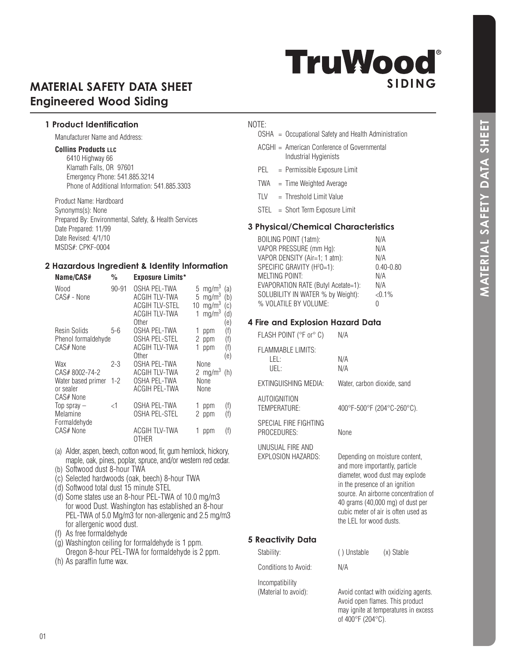# **TruWood**® **SIDING**

# **MATERIAL SAFETY DATA SHEET Engineered Wood Siding**

# **1 Product Identification**

Manufacturer Name and Address:

#### **Collins Products LLC**

6410 Highway 66 Klamath Falls, OR 97601 Emergency Phone: 541.885.3214 Phone of Additional Information: 541.885.3303

Product Name: Hardboard Synonyms(s): None Prepared By: Environmental, Safety, & Health Services Date Prepared: 11/99 Date Revised: 4/1/10 MSDS#: CPKF-0004

#### **2 Hazardous Ingredient & Identity Information Name/CAS# % Exposure Limits\***

| <b>Name/CAS#</b>                                 | ‰         | <b>EXPOSURE LIMILS</b>                                                                  |                                                                                                                                   |
|--------------------------------------------------|-----------|-----------------------------------------------------------------------------------------|-----------------------------------------------------------------------------------------------------------------------------------|
| Wood<br>CAS# - None                              | $90 - 91$ | OSHA PEL-TWA<br><b>ACGIH TLV-TWA</b><br><b>ACGIH TLV-STEL</b><br>ACGIH TLV-TWA<br>Other | 5 mg/m <sup>3</sup><br>(a)<br>5 mg/m <sup>3</sup><br>(b)<br>10 mg/m $3$<br>(c)<br>mg/m <sup>3</sup><br>$\mathbf{1}$<br>(d)<br>(e) |
| Resin Solids<br>Phenol formaldehyde<br>CAS# None | $5 - 6$   | OSHA PEL-TWA<br><b>OSHA PEL-STEL</b><br>ACGIH TLV-TWA<br>Other                          | (f)<br>1<br>ppm<br>(f)<br>2<br>ppm<br>(f)<br>ppm<br>1<br>(e)                                                                      |
| Wax<br>CAS# 8002-74-2                            | 2-3       | OSHA PEL-TWA<br>ACGIH TLV-TWA                                                           | None<br>2 mg/m <sup>3</sup><br>(h)                                                                                                |
| Water based primer<br>or sealer<br>CAS# None     | $1 - 2$   | OSHA PEL-TWA<br><b>ACGIH PEL-TWA</b>                                                    | None<br>None                                                                                                                      |
| Top spray $-$<br>Melamine<br>Formaldehyde        | <1        | OSHA PEL-TWA<br>OSHA PEL-STEL                                                           | (f)<br>ppm<br>(f)<br>2 ppm                                                                                                        |
| CAS# None                                        |           | <b>ACGIH TLV-TWA</b><br><b>OTHER</b>                                                    | (f)<br>ppm                                                                                                                        |

- (a) Alder, aspen, beech, cotton wood, fir, gum hemlock, hickory, maple, oak, pines, poplar, spruce, and/or western red cedar.
- (b) Softwood dust 8-hour TWA
- (c) Selected hardwoods (oak, beech) 8-hour TWA
- (d) Softwood total dust 15 minute STEL
- (d) Some states use an 8-hour PEL-TWA of 10.0 mg/m3 for wood Dust. Washington has established an 8-hour PEL-TWA of 5.0 Mg/m3 for non-allergenic and 2.5 mg/m3 for allergenic wood dust.
- (f) As free formaldehyde
- $(q)$  Washington ceiling for formaldehyde is 1 ppm. Oregon 8-hour PEL-TWA for formaldehyde is 2 ppm.
- (h) As paraffin fume wax.

# NOTE:

- OSHA = Occupational Safety and Health Administration
- ACGHI = American Conference of Governmental Industrial Hygienists
- PEL = Permissible Exposure Limit
- TWA = Time Weighted Average
- $TLV = Threshold Limit Value$
- STEL = Short Term Exposure Limit

# **3 Physical/Chemical Characteristics**

| <b>BOILING POINT (1atm):</b>           | N/A           |
|----------------------------------------|---------------|
| VAPOR PRESSURE (mm Hg):                | N/A           |
| VAPOR DENSITY (Air=1; 1 atm):          | N/A           |
| SPECIFIC GRAVITY (H <sup>2</sup> O=1): | $0.40 - 0.80$ |
| MELTING POINT:                         | N/A           |
| EVAPORATION RATE (Butyl Acetate=1):    | N/A           |
| SOLUBILITY IN WATER % by Weight):      | $< 0.1\%$     |
| % VOLATILE BY VOLUME:                  | Ω             |

# **4 Fire and Explosion Hazard Data**

| FLASH POINT (°F or° C)                      | N/A                                                                                                                                                                                                                                                                                 |
|---------------------------------------------|-------------------------------------------------------------------------------------------------------------------------------------------------------------------------------------------------------------------------------------------------------------------------------------|
| <b>FLAMMABLE LIMITS:</b><br>LEL:<br>UEL:    | N/A<br>N/A                                                                                                                                                                                                                                                                          |
| EXTINGUISHING MEDIA:                        | Water, carbon dioxide, sand                                                                                                                                                                                                                                                         |
| AUTOIGNITION<br>TEMPERATURE:                | 400°F-500°F (204°C-260°C).                                                                                                                                                                                                                                                          |
| SPECIAL FIRE FIGHTING<br><b>PROCEDURES:</b> | None                                                                                                                                                                                                                                                                                |
| UNUSUAL FIRE AND<br>EXPLOSION HAZARDS:      | Depending on moisture content,<br>and more importantly, particle<br>diameter, wood dust may explode<br>in the presence of an ignition<br>source. An airborne concentration of<br>40 grams (40,000 mg) of dust per<br>cubic meter of air is often used as<br>the LEL for wood dusts. |
| Reactivity Data                             |                                                                                                                                                                                                                                                                                     |

 Avoid open flames. This product may ignite at temperatures in excess

of 400°F (204°C).

# **5 Reactivity Data**

Stability: ( ) Unstable (x) Stable Conditions to Avoid: N/A

Incompatibility (Material to avoid): Avoid contact with oxidizing agents.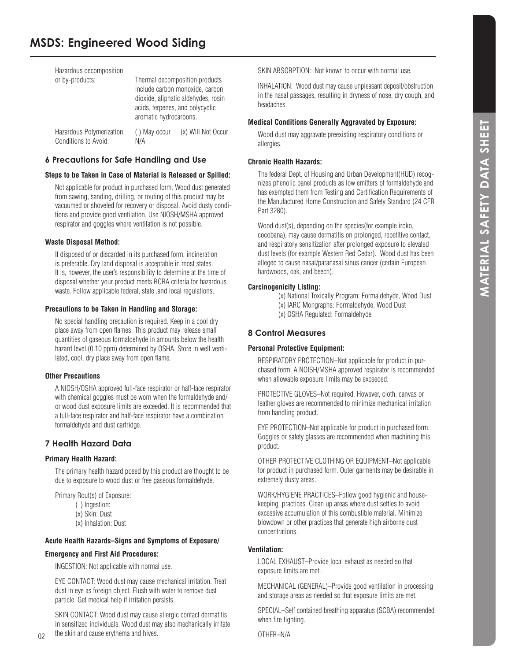# **MSDS: Engineered Wood Siding**

| Hazardous decomposition<br>or by-products:        | aromatic hydrocarbons. | Thermal decomposition products<br>include carbon monoxide, carbon<br>dioxide, aliphatic aldehydes, rosin<br>acids, terpenes, and polycyclic |
|---------------------------------------------------|------------------------|---------------------------------------------------------------------------------------------------------------------------------------------|
| Hazardous Polymerization:<br>Conditions to Avoid: | () May occur<br>N/A    | (x) Will Not Occur                                                                                                                          |

# **6 Precautions for Safe Handling and Use**

#### **Steps to be Taken in Case of Material is Released or Spilled:**

Not applicable for product in purchased form. Wood dust generated from sawing, sanding, drilling, or routing of this product may be vacuumed or shoveled for recovery or disposal. Avoid dusty conditions and provide good ventilation. Use NIOSH/MSHA approved respirator and goggles where ventilation is not possible.

#### **Waste Disposal Method:**

If disposed of or discarded in its purchased form, incineration is preferable. Dry land disposal is acceptable in most states. It is, however, the user's responsibility to determine at the time of disposal whether your product meets RCRA criteria for hazardous waste. Follow applicable federal, state ,and local regulations.

#### **Precautions to be Taken in Handling and Storage:**

No special handling precaution is required. Keep in a cool dry place away from open flames. This product may release small quantities of gaseous formaldehyde in amounts below the health hazard level (0.10 ppm) determined by OSHA. Store in well ventilated, cool, dry place away from open flame.

# **Other Precautions**

A NIOSH/OSHA approved full-face respirator or half-face respirator with chemical goggles must be worn when the formaldehyde and/ or wood dust exposure limits are exceeded. It is recommended that a full-face respirator and half-face respirator have a combination formaldehyde and dust cartridge.

# **7 Health Hazard Data**

# **Primary Health Hazard:**

 $02$ 

The primary health hazard posed by this product are thought to be due to exposure to wood dust or free gaseous formaldehyde.

Primary Rout(s) of Exposure:

- $( )$  Ingestion:
- (x) Skin: Dust
- (x) Inhalation: Dust

# **Acute Health Hazards–Signs and Symptoms of Exposure/**

# **Emergency and First Aid Procedures:**

INGESTION: Not applicable with normal use.

EYE CONTACT: Wood dust may cause mechanical irritation. Treat dust in eye as foreign object. Flush with water to remove dust particle. Get medical help if irritation persists.

SKIN CONTACT: Wood dust may cause allergic contact dermatitis in sensitized individuals. Wood dust may also mechanically irritate the skin and cause erythema and hives.

SKIN ABSORPTION: Not known to occur with normal use.

INHALATION: Wood dust may cause unpleasant deposit/obstruction in the nasal passages, resulting in dryness of nose, dry cough, and headaches.

# **Medical Conditions Generally Aggravated by Exposure:**

Wood dust may aggravate preexisting respiratory conditions or allergies.

# **Chronic Health Hazards:**

The federal Dept. of Housing and Urban Development(HUD) recognizes phenolic panel products as low emitters of formaldehyde and has exempted them from Testing and Certification Requirements of the Manufactured Home Construction and Safety Standard (24 CFR Part 3280).

Wood dust(s), depending on the species(for example iroko, cocobana), may cause dermatitis on prolonged, repetitive contact, and respiratory sensitization after prolonged exposure to elevated dust levels (for example Western Red Cedar). Wood dust has been alleged to cause nasal/paranasal sinus cancer (certain European hardwoods, oak, and beech).

# **Carcinogenicity Listing:**

- (x) National Toxically Program: Formaldehyde, Wood Dust
- (x) IARC Mongraphs: Formaldehyde, Wood Dust
- (x) OSHA Regulated: Formaldehyde

# **8 Control Measures**

# **Personal Protective Equipment:**

RESPIRATORY PROTECTION–Not applicable for product in purchased form. A NOISH/MSHA approved respirator is recommended when allowable exposure limits may be exceeded.

PROTECTIVE GLOVES–Not required. However, cloth, canvas or leather gloves are recommended to minimize mechanical irritation from handling product.

EYE PROTECTION–Not applicable for product in purchased form. Goggles or safety glasses are recommended when machining this product.

OTHER PROTECTIVE CLOTHING OR EQUIPMENT–Not applicable for product in purchased form. Outer garments may be desirable in extremely dusty areas.

WORK/HYGIENE PRACTICES–Follow good hygienic and housekeeping practices. Clean up areas where dust settles to avoid excessive accumulation of this combustible material. Minimize blowdown or other practices that generate high airborne dust concentrations.

# **Ventilation:**

LOCAL EXHAUST–Provide local exhaust as needed so that exposure limits are met.

MECHANICAL (GENERAL)–Provide good ventilation in processing and storage areas as needed so that exposure limits are met.

SPECIAL–Self contained breathing apparatus (SCBA) recommended when fire fighting.

OTHER–N/A